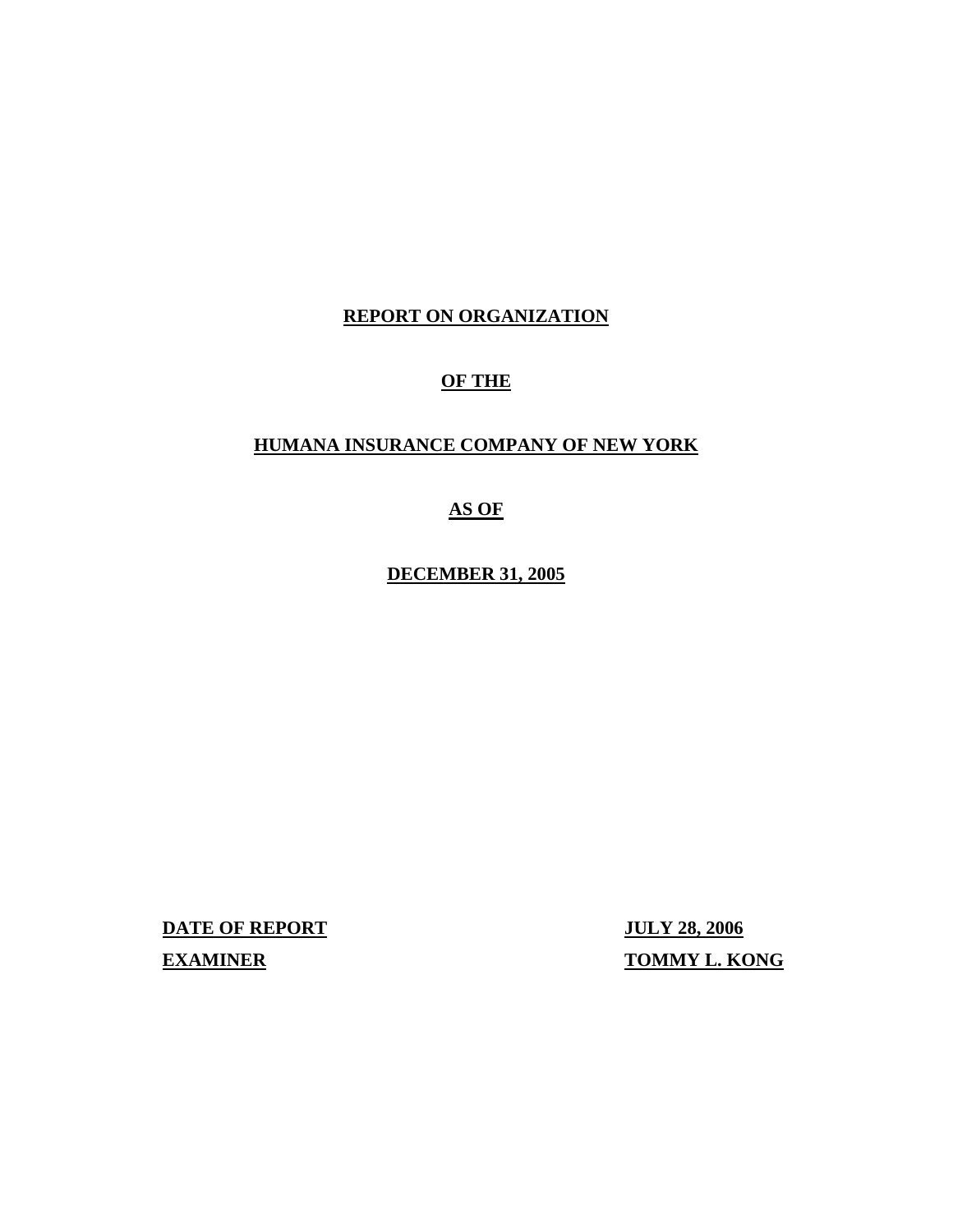# **REPORT ON ORGANIZATION**

# **OF THE**

# **HUMANA INSURANCE COMPANY OF NEW YORK**

# **AS OF**

**DECEMBER 31, 2005** 

**DATE OF REPORT JULY 28, 2006 EXAMINER TOMMY L. KONG**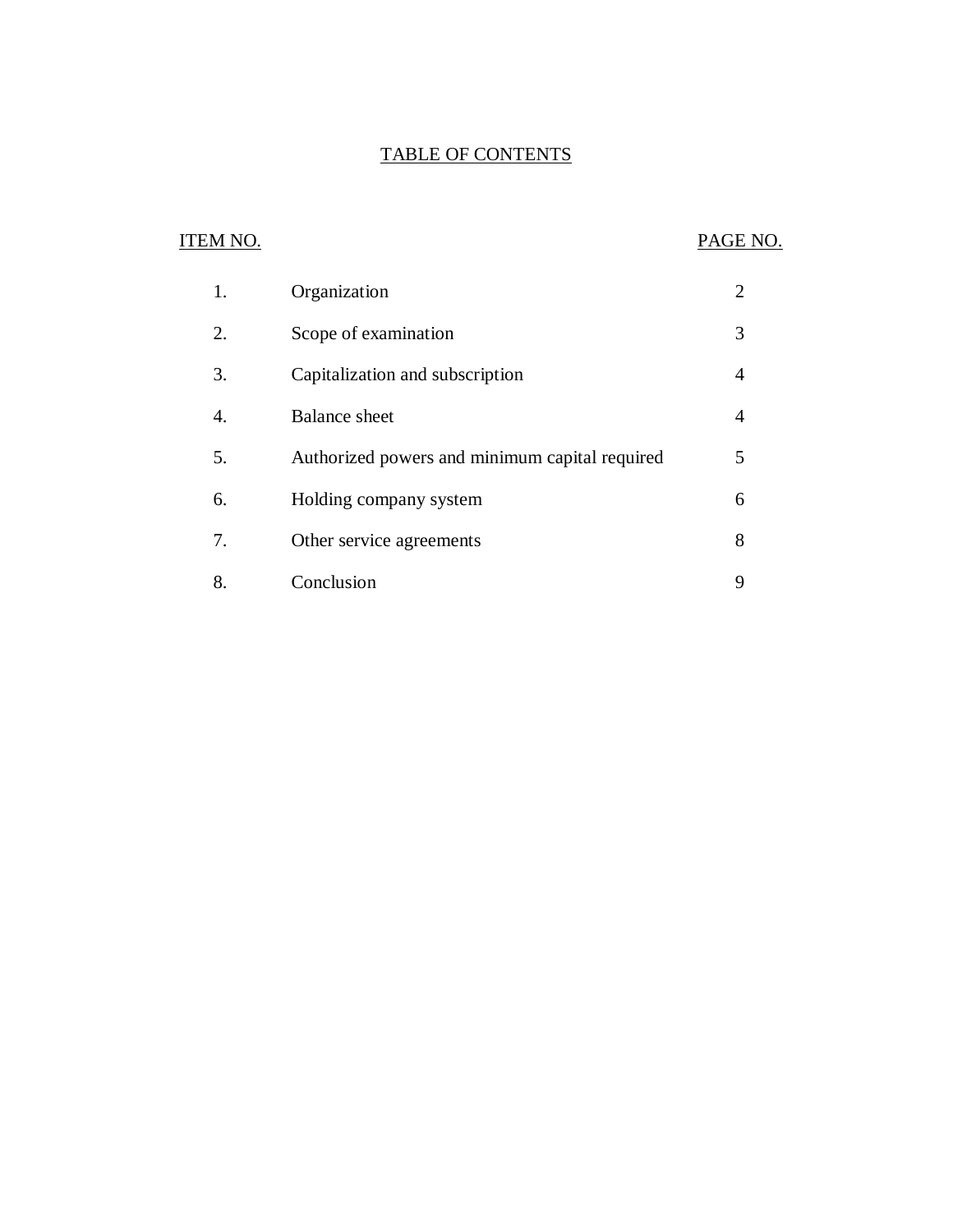### TABLE OF CONTENTS

# ITEM NO. PAGE NO.

| 1. | Organization                                   |   |
|----|------------------------------------------------|---|
| 2. | Scope of examination                           | 3 |
| 3. | Capitalization and subscription                | 4 |
| 4. | <b>Balance</b> sheet                           | 4 |
| 5. | Authorized powers and minimum capital required | 5 |
| 6. | Holding company system                         | 6 |
| 7. | Other service agreements                       | 8 |
| 8  | Conclusion                                     | 9 |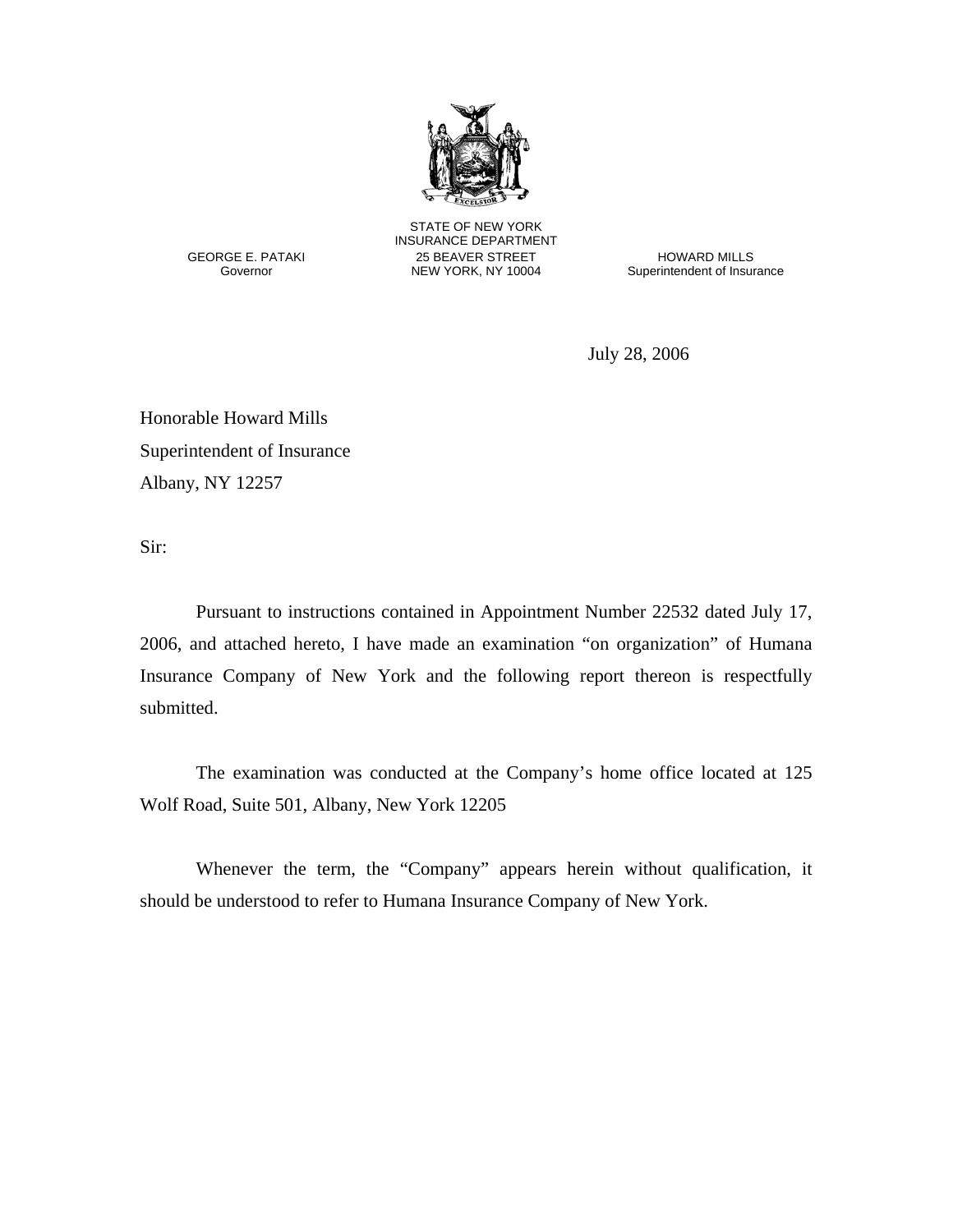

STATE OF NEW YORK INSURANCE DEPARTMENT<br>CEORGE E. PATAKI 25 BEAVER STREET GEORGE E. PATAKI 25 BEAVER STREET HOWARD MILLS

Superintendent of Insurance

July 28, 2006

Honorable Howard Mills Superintendent of Insurance Albany, NY 12257

Sir:

Pursuant to instructions contained in Appointment Number 22532 dated July 17, 2006, and attached hereto, I have made an examination "on organization" of Humana Insurance Company of New York and the following report thereon is respectfully submitted.

The examination was conducted at the Company's home office located at 125 Wolf Road, Suite 501, Albany, New York 12205

Whenever the term, the "Company" appears herein without qualification, it should be understood to refer to Humana Insurance Company of New York.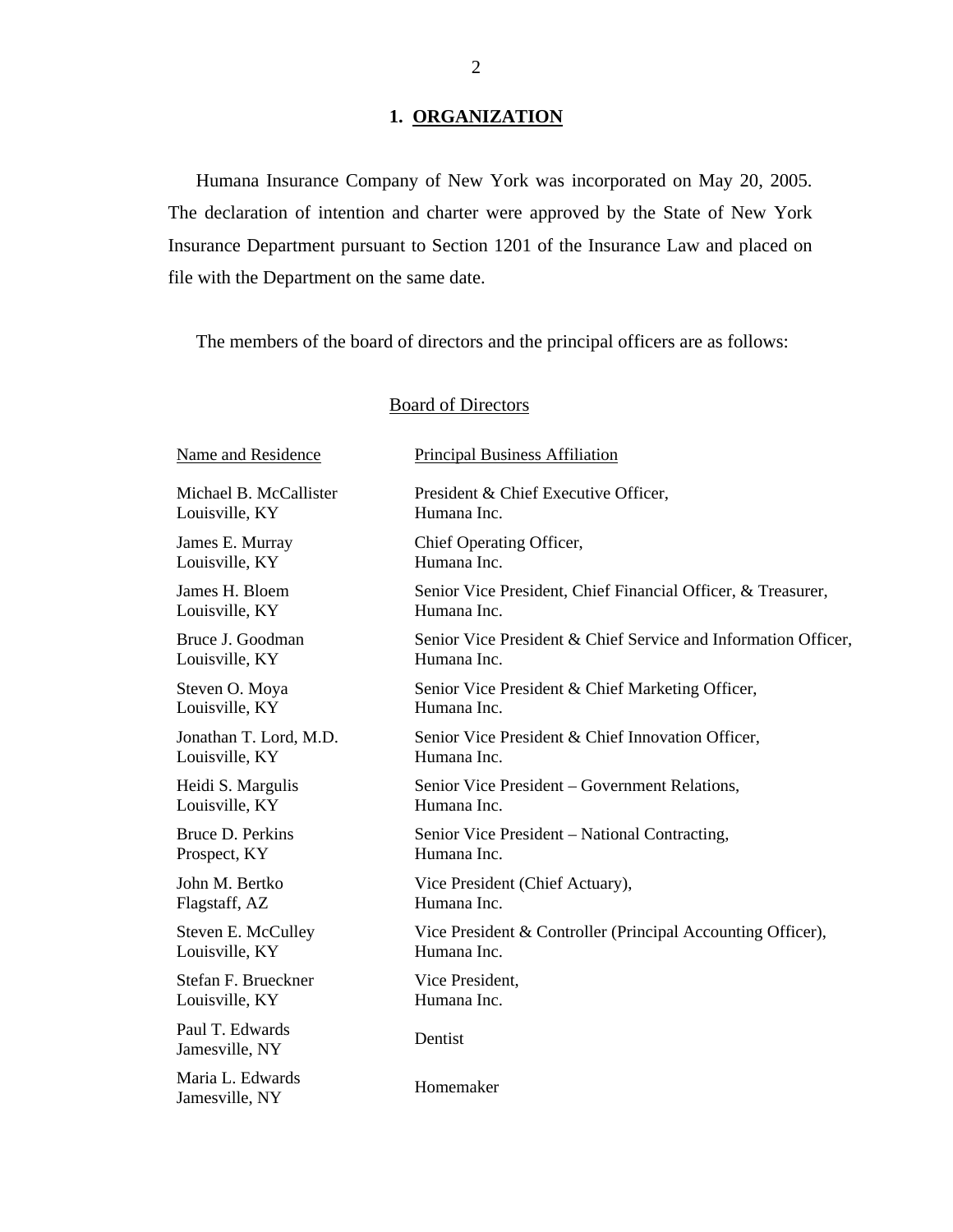# 1. ORGANIZATION

Humana Insurance Company of New York was incorporated on May 20, 2005. The declaration of intention and charter were approved by the State of New York Insurance Department pursuant to Section 1201 of the Insurance Law and placed on file with the Department on the same date.

The members of the board of directors and the principal officers are as follows:

# **Board of Directors**

| Name and Residence                 | <b>Principal Business Affiliation</b>                          |
|------------------------------------|----------------------------------------------------------------|
| Michael B. McCallister             | President & Chief Executive Officer,                           |
| Louisville, KY                     | Humana Inc.                                                    |
| James E. Murray                    | Chief Operating Officer,                                       |
| Louisville, KY                     | Humana Inc.                                                    |
| James H. Bloem                     | Senior Vice President, Chief Financial Officer, & Treasurer,   |
| Louisville, KY                     | Humana Inc.                                                    |
| Bruce J. Goodman                   | Senior Vice President & Chief Service and Information Officer, |
| Louisville, KY                     | Humana Inc.                                                    |
| Steven O. Moya                     | Senior Vice President & Chief Marketing Officer,               |
| Louisville, KY                     | Humana Inc.                                                    |
| Jonathan T. Lord, M.D.             | Senior Vice President & Chief Innovation Officer,              |
| Louisville, KY                     | Humana Inc.                                                    |
| Heidi S. Margulis                  | Senior Vice President – Government Relations,                  |
| Louisville, KY                     | Humana Inc.                                                    |
| Bruce D. Perkins                   | Senior Vice President - National Contracting,                  |
| Prospect, KY                       | Humana Inc.                                                    |
| John M. Bertko                     | Vice President (Chief Actuary),                                |
| Flagstaff, AZ                      | Humana Inc.                                                    |
| Steven E. McCulley                 | Vice President & Controller (Principal Accounting Officer),    |
| Louisville, KY                     | Humana Inc.                                                    |
| Stefan F. Brueckner                | Vice President,                                                |
| Louisville, KY                     | Humana Inc.                                                    |
| Paul T. Edwards<br>Jamesville, NY  | Dentist                                                        |
| Maria L. Edwards<br>Jamesville, NY | Homemaker                                                      |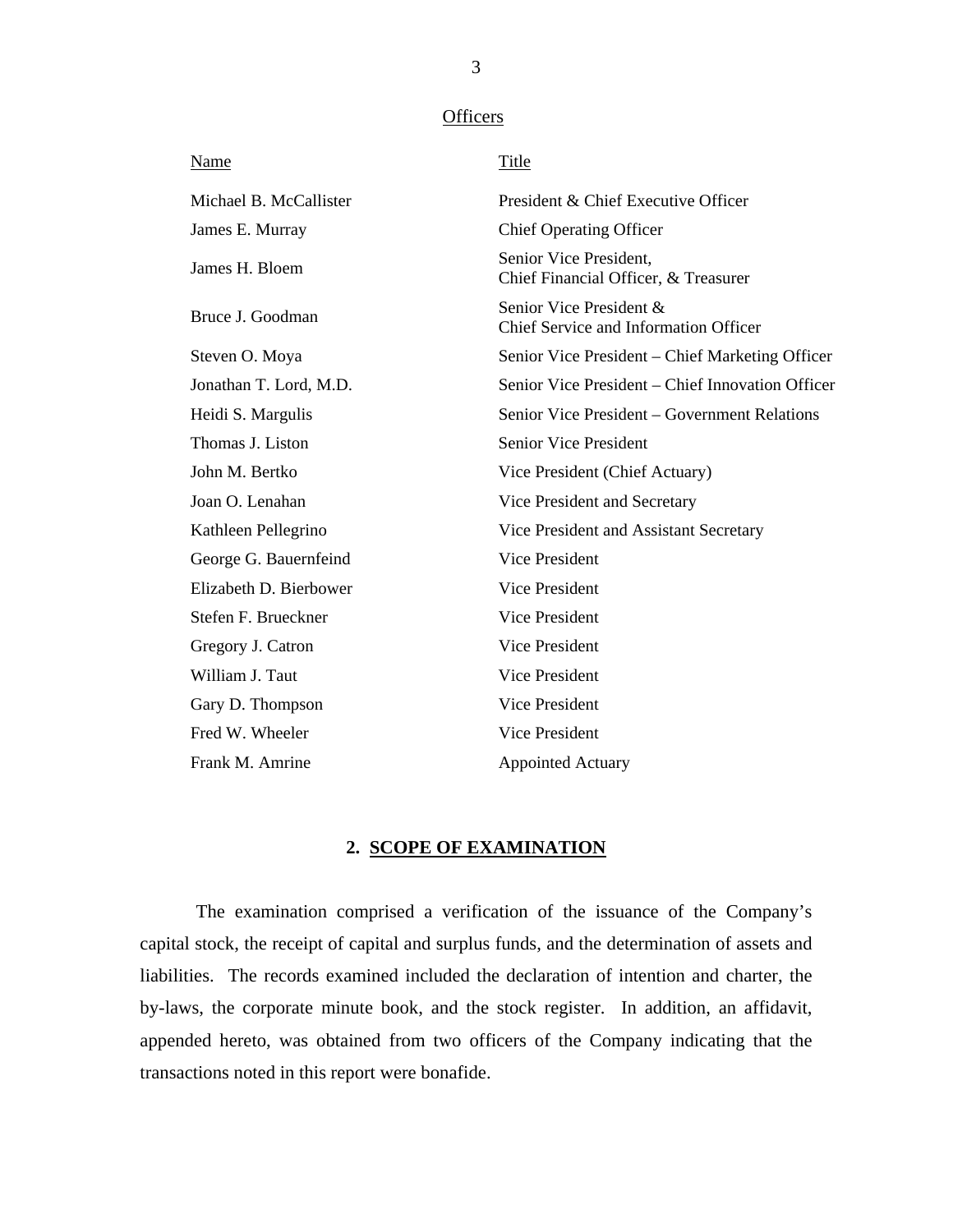#### **Officers**

<span id="page-4-0"></span>

| <b>Name</b>            | <b>Title</b>                                                     |
|------------------------|------------------------------------------------------------------|
| Michael B. McCallister | President & Chief Executive Officer                              |
| James E. Murray        | <b>Chief Operating Officer</b>                                   |
| James H. Bloem         | Senior Vice President,<br>Chief Financial Officer, & Treasurer   |
| Bruce J. Goodman       | Senior Vice President &<br>Chief Service and Information Officer |
| Steven O. Moya         | Senior Vice President – Chief Marketing Officer                  |
| Jonathan T. Lord, M.D. | Senior Vice President – Chief Innovation Officer                 |
| Heidi S. Margulis      | Senior Vice President – Government Relations                     |
| Thomas J. Liston       | Senior Vice President                                            |
| John M. Bertko         | Vice President (Chief Actuary)                                   |
| Joan O. Lenahan        | Vice President and Secretary                                     |
| Kathleen Pellegrino    | Vice President and Assistant Secretary                           |
| George G. Bauernfeind  | Vice President                                                   |
| Elizabeth D. Bierbower | <b>Vice President</b>                                            |
| Stefen F. Brueckner    | <b>Vice President</b>                                            |
| Gregory J. Catron      | <b>Vice President</b>                                            |
| William J. Taut        | Vice President                                                   |
| Gary D. Thompson       | Vice President                                                   |
| Fred W. Wheeler        | <b>Vice President</b>                                            |
| Frank M. Amrine        | <b>Appointed Actuary</b>                                         |

#### **2. SCOPE OF EXAMINATION**

The examination comprised a verification of the issuance of the Company's capital stock, the receipt of capital and surplus funds, and the determination of assets and liabilities. The records examined included the declaration of intention and charter, the by-laws, the corporate minute book, and the stock register. In addition, an affidavit, appended hereto, was obtained from two officers of the Company indicating that the transactions noted in this report were bonafide.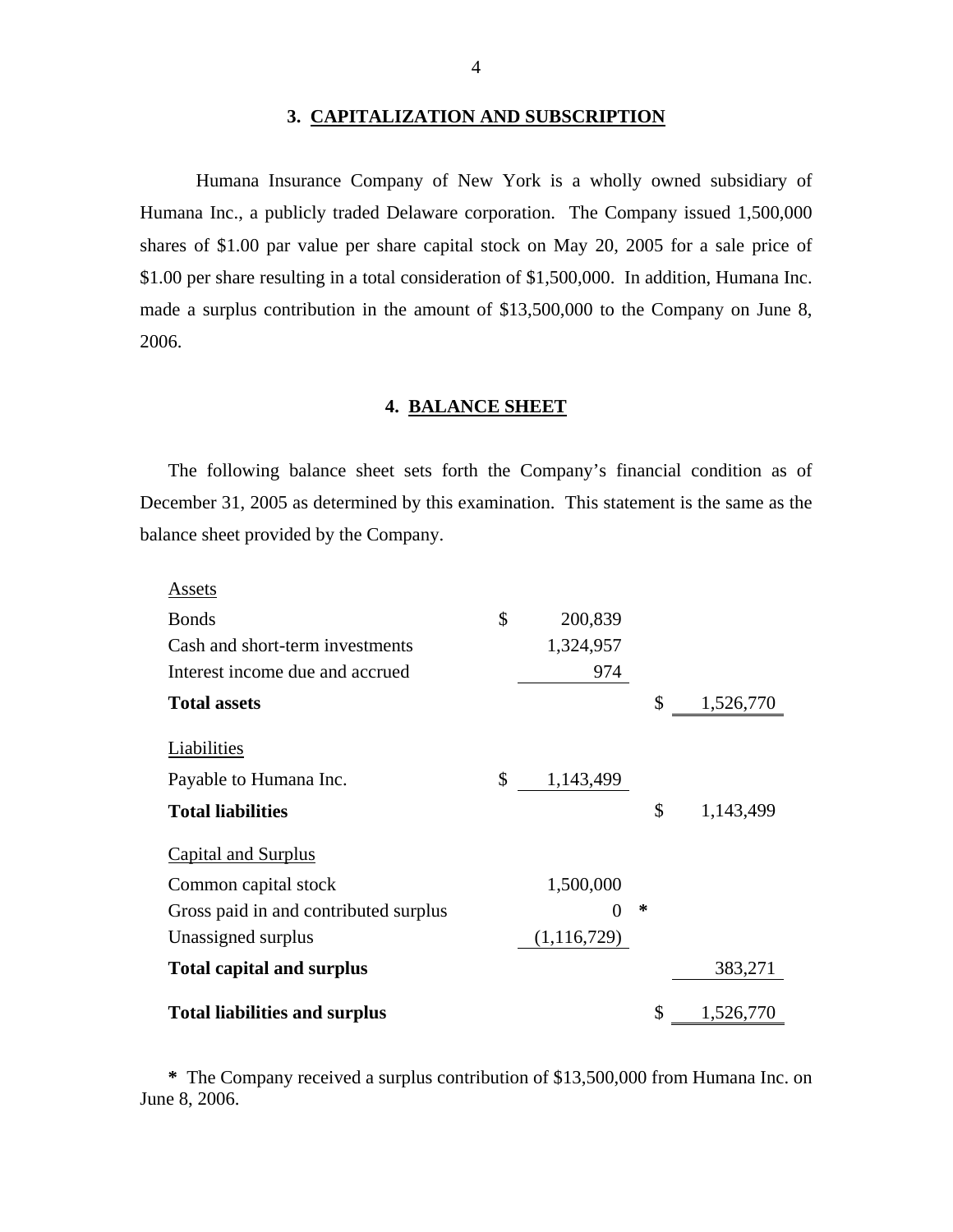#### **3. CAPITALIZATION AND SUBSCRIPTION**

Humana Insurance Company of New York is a wholly owned subsidiary of Humana Inc., a publicly traded Delaware corporation. The Company issued 1,500,000 shares of \$1.00 par value per share capital stock on May 20, 2005 for a sale price of \$1.00 per share resulting in a total consideration of \$1,500,000. In addition, Humana Inc. made a surplus contribution in the amount of \$13,500,000 to the Company on June 8, 2006.

#### **4. BALANCE SHEET**

The following balance sheet sets forth the Company's financial condition as of December 31, 2005 as determined by this examination. This statement is the same as the balance sheet provided by the Company.

|--|

| <b>Assets</b>                         |                 |    |           |
|---------------------------------------|-----------------|----|-----------|
| <b>Bonds</b>                          | \$<br>200,839   |    |           |
| Cash and short-term investments       | 1,324,957       |    |           |
| Interest income due and accrued       | 974             |    |           |
| <b>Total assets</b>                   |                 | \$ | 1,526,770 |
| Liabilities                           |                 |    |           |
| Payable to Humana Inc.                | \$<br>1,143,499 |    |           |
| <b>Total liabilities</b>              |                 | \$ | 1,143,499 |
| Capital and Surplus                   |                 |    |           |
| Common capital stock                  | 1,500,000       |    |           |
| Gross paid in and contributed surplus |                 | ∗  |           |
| Unassigned surplus                    | (1, 116, 729)   |    |           |
| <b>Total capital and surplus</b>      |                 |    | 383,271   |
| <b>Total liabilities and surplus</b>  |                 | \$ | 1,526,770 |

**\*** The Company received a surplus contribution of \$13,500,000 from Humana Inc. on June 8, 2006.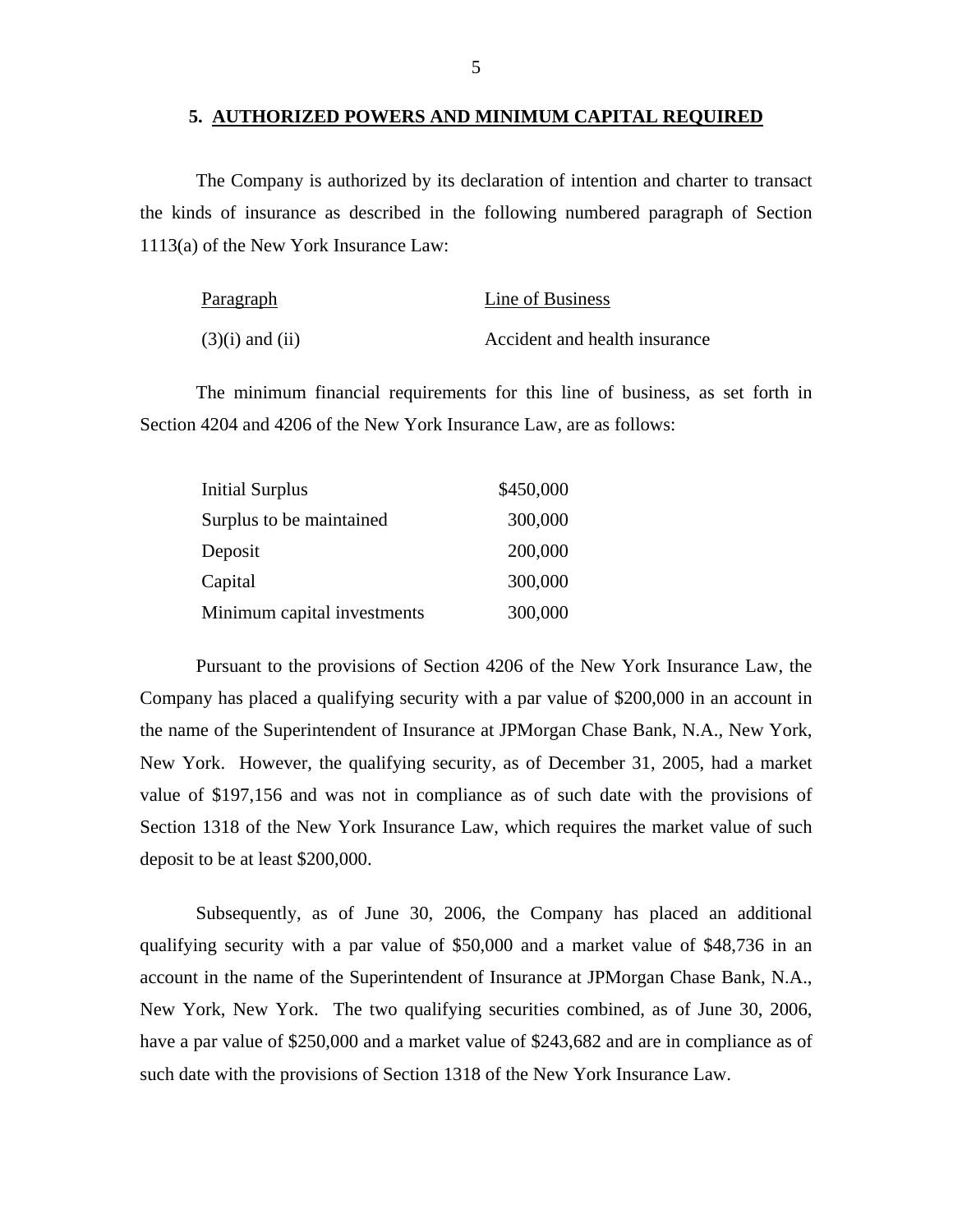#### **5. AUTHORIZED POWERS AND MINIMUM CAPITAL REQUIRED**

The Company is authorized by its declaration of intention and charter to transact the kinds of insurance as described in the following numbered paragraph of Section 1113(a) of the New York Insurance Law:

| Paragraph           | Line of Business              |
|---------------------|-------------------------------|
| $(3)(i)$ and $(ii)$ | Accident and health insurance |

The minimum financial requirements for this line of business, as set forth in Section 4204 and 4206 of the New York Insurance Law, are as follows:

| <b>Initial Surplus</b>      | \$450,000 |
|-----------------------------|-----------|
| Surplus to be maintained    | 300,000   |
| Deposit                     | 200,000   |
| Capital                     | 300,000   |
| Minimum capital investments | 300,000   |

Pursuant to the provisions of Section 4206 of the New York Insurance Law, the Company has placed a qualifying security with a par value of \$200,000 in an account in the name of the Superintendent of Insurance at JPMorgan Chase Bank, N.A., New York, New York. However, the qualifying security, as of December 31, 2005, had a market value of \$197,156 and was not in compliance as of such date with the provisions of Section 1318 of the New York Insurance Law, which requires the market value of such deposit to be at least \$200,000.

Subsequently, as of June 30, 2006, the Company has placed an additional qualifying security with a par value of \$50,000 and a market value of \$48,736 in an account in the name of the Superintendent of Insurance at JPMorgan Chase Bank, N.A., New York, New York. The two qualifying securities combined, as of June 30, 2006, have a par value of \$250,000 and a market value of \$243,682 and are in compliance as of such date with the provisions of Section 1318 of the New York Insurance Law.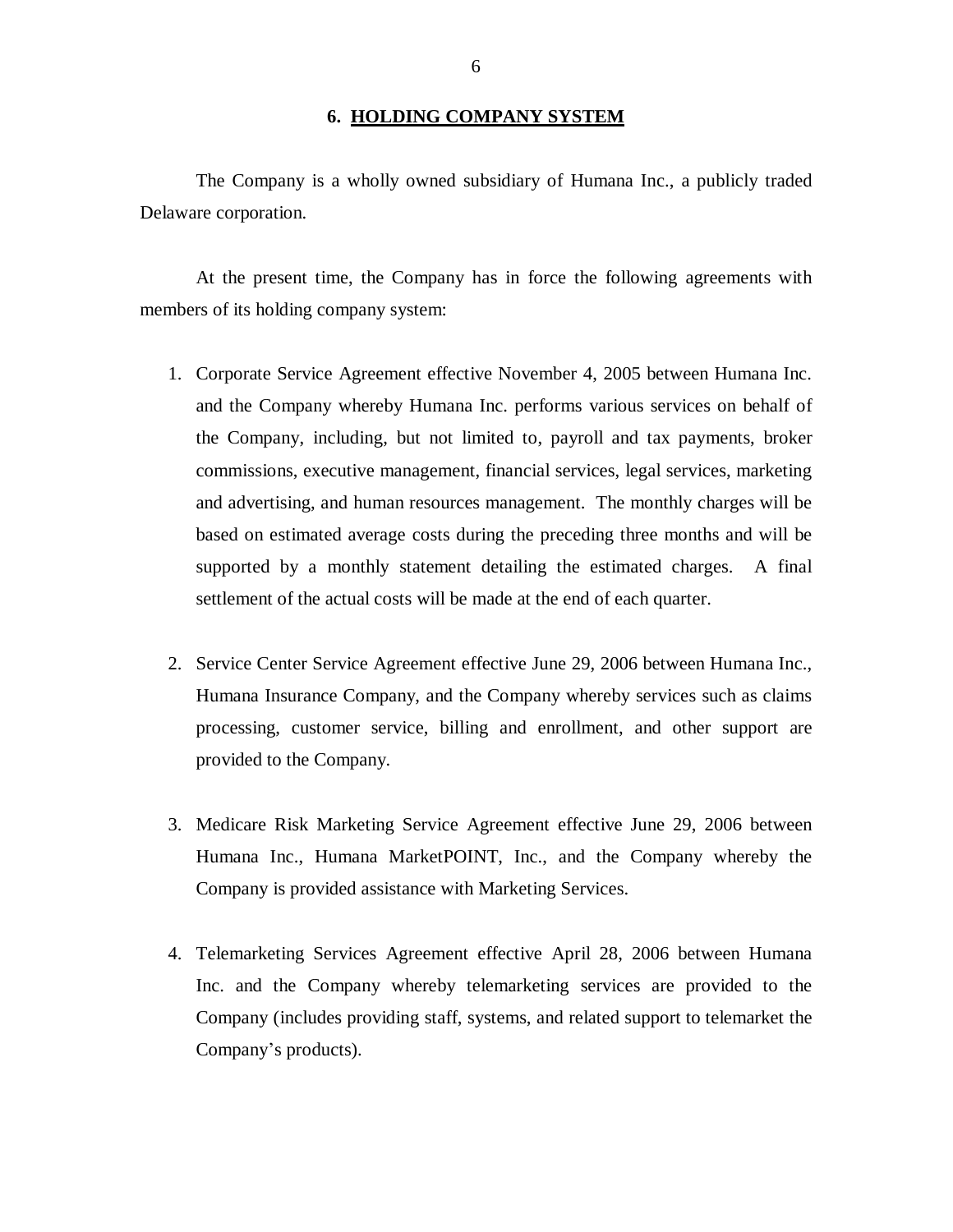#### **6. HOLDING COMPANY SYSTEM**

<span id="page-7-0"></span> The Company is a wholly owned subsidiary of Humana Inc., a publicly traded Delaware corporation.

 At the present time, the Company has in force the following agreements with members of its holding company system:

- 1. Corporate Service Agreement effective November 4, 2005 between Humana Inc. and the Company whereby Humana Inc. performs various services on behalf of the Company, including, but not limited to, payroll and tax payments, broker commissions, executive management, financial services, legal services, marketing and advertising, and human resources management. The monthly charges will be based on estimated average costs during the preceding three months and will be supported by a monthly statement detailing the estimated charges. A final settlement of the actual costs will be made at the end of each quarter.
- 2. Service Center Service Agreement effective June 29, 2006 between Humana Inc., Humana Insurance Company, and the Company whereby services such as claims processing, customer service, billing and enrollment, and other support are provided to the Company.
- 3. Medicare Risk Marketing Service Agreement effective June 29, 2006 between Humana Inc., Humana MarketPOINT, Inc., and the Company whereby the Company is provided assistance with Marketing Services.
- 4. Telemarketing Services Agreement effective April 28, 2006 between Humana Inc. and the Company whereby telemarketing services are provided to the Company (includes providing staff, systems, and related support to telemarket the Company's products).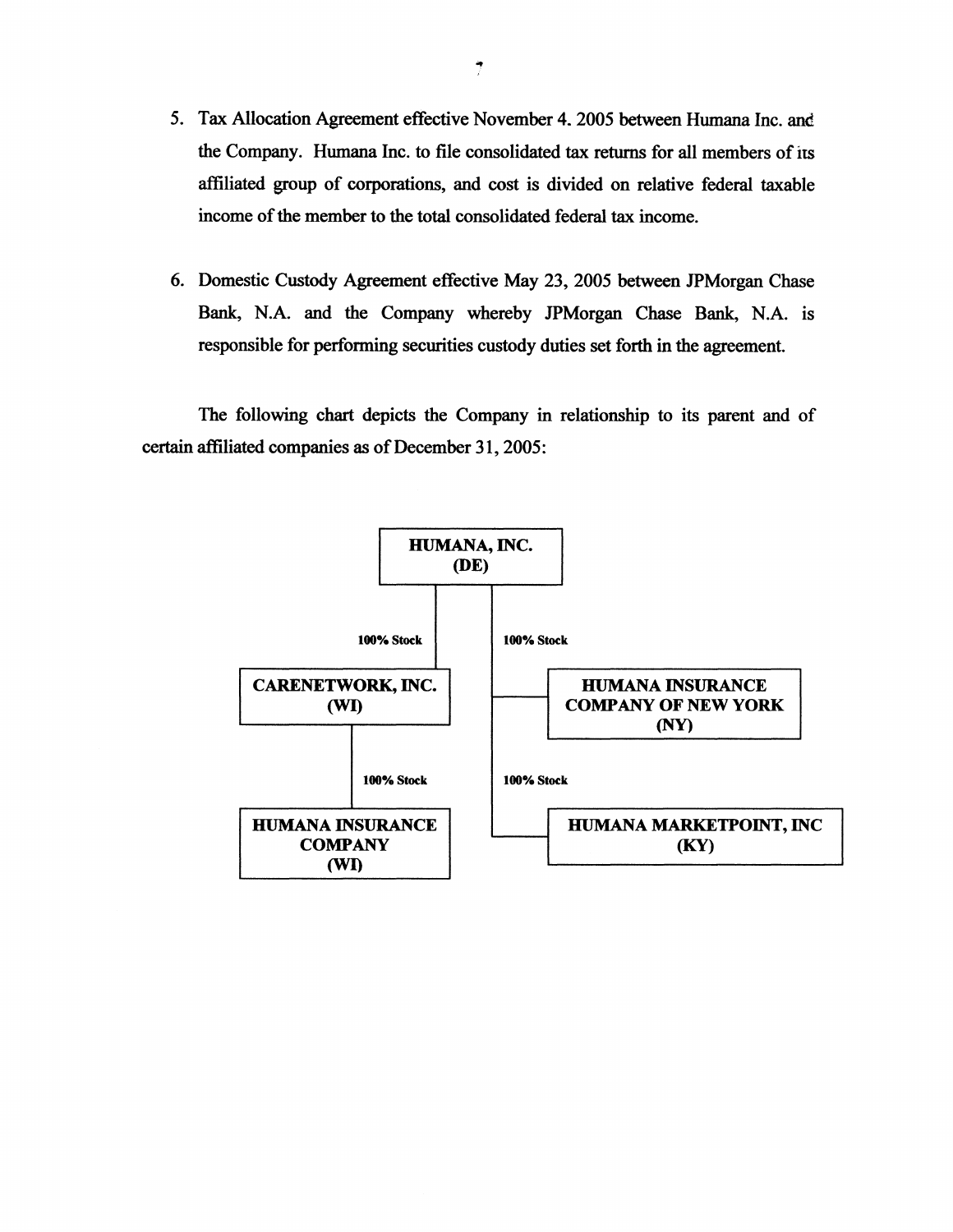- 5. Tax Allocation Agreement effective November 4, 2005 between Humana Inc. and the Company. Humana Inc. to file consolidated tax returns for all members of its affiliated group of corporations, and cost is divided on relative federal taxable income of the member to the total consolidated federal tax income.
- 6. Domestic Custody Agreement effective May 23, 2005 between JPMorgan Chase Bank, N.A. and the Company whereby JPMorgan Chase Bank, N.A. is responsible for performing securities custody duties set forth in the agreement.

The following chart depicts the Company in relationship to its parent and of certain affiliated companies as of December 31, 2005:

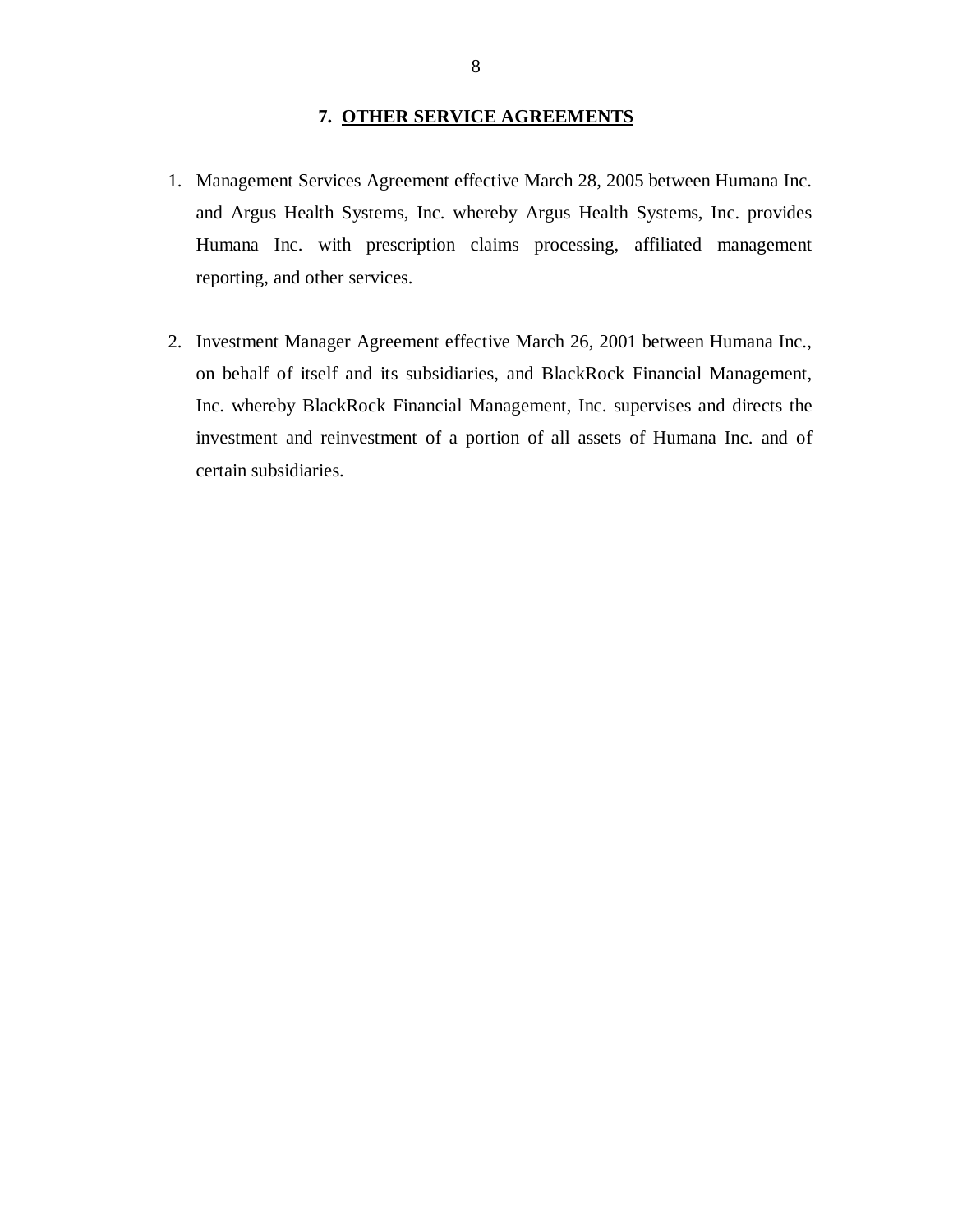#### **7. OTHER SERVICE AGREEMENTS**

- <span id="page-9-0"></span> 1. Management Services Agreement effective March 28, 2005 between Humana Inc. and Argus Health Systems, Inc. whereby Argus Health Systems, Inc. provides Humana Inc. with prescription claims processing, affiliated management reporting, and other services.
- 2. Investment Manager Agreement effective March 26, 2001 between Humana Inc., on behalf of itself and its subsidiaries, and BlackRock Financial Management, Inc. whereby BlackRock Financial Management, Inc. supervises and directs the investment and reinvestment of a portion of all assets of Humana Inc. and of certain subsidiaries.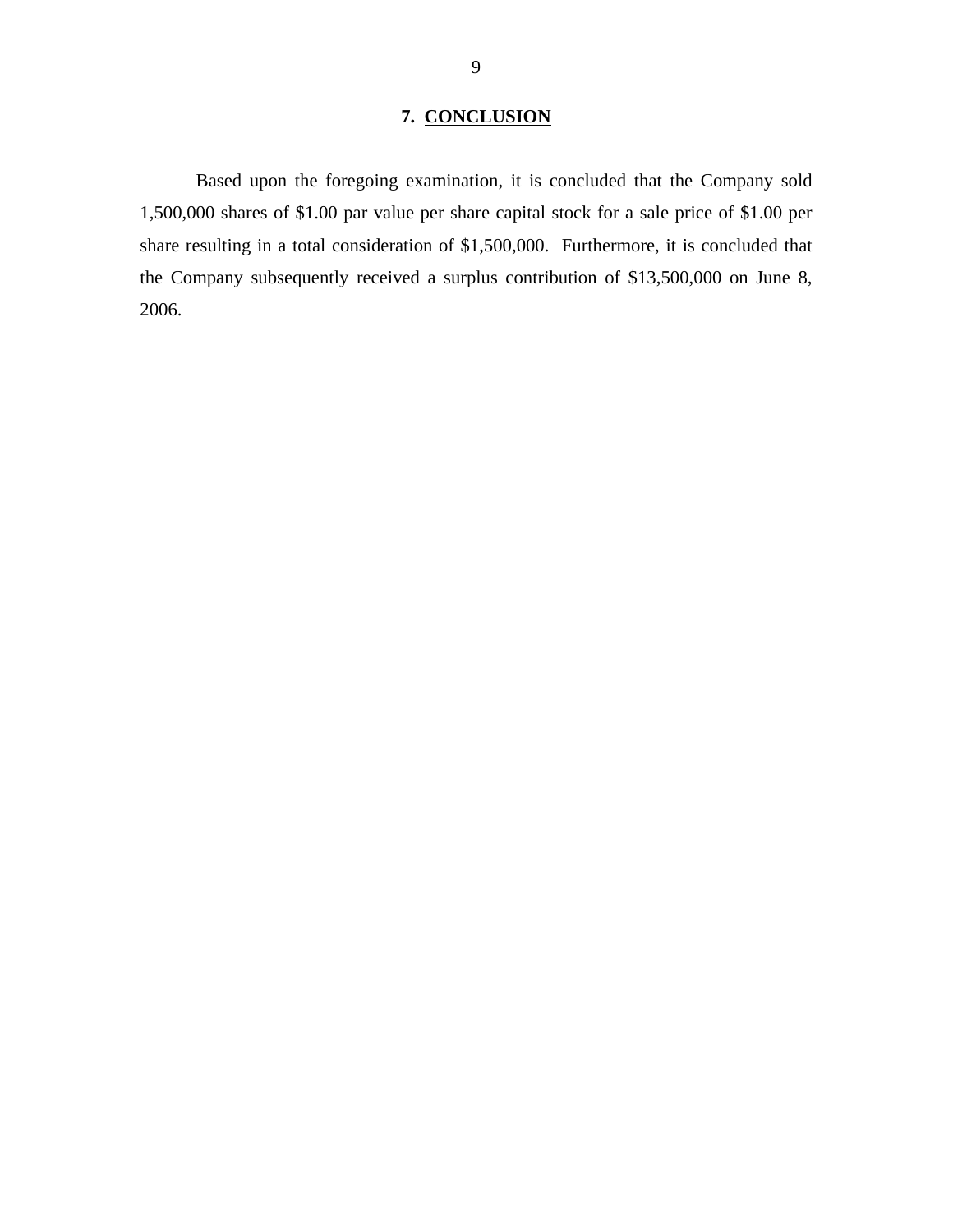# **7. CONCLUSION**

<span id="page-10-0"></span>Based upon the foregoing examination, it is concluded that the Company sold 1,500,000 shares of \$1.00 par value per share capital stock for a sale price of \$1.00 per share resulting in a total consideration of \$1,500,000. Furthermore, it is concluded that the Company subsequently received a surplus contribution of \$13,500,000 on June 8, 2006.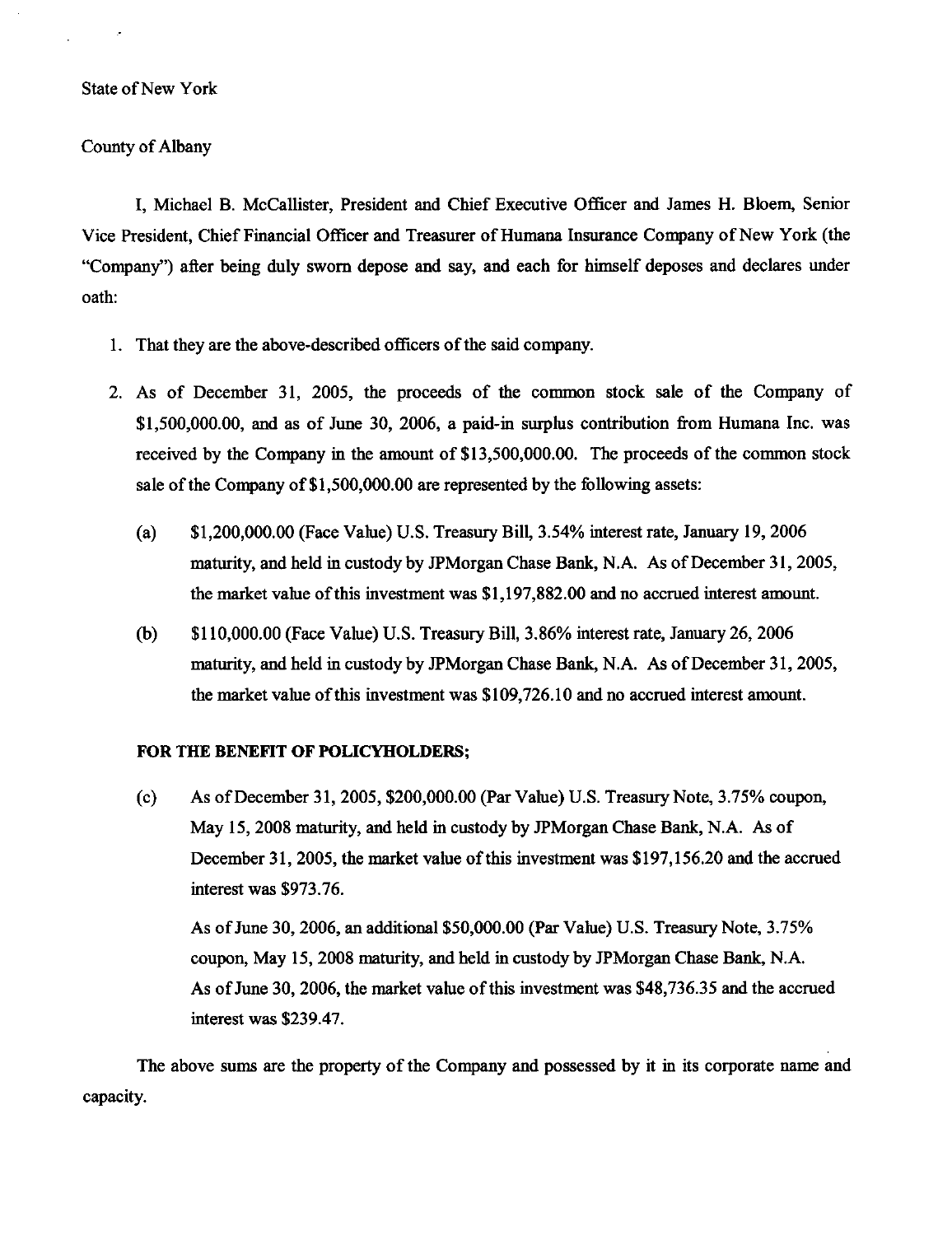#### **State of New York**

#### County of Albany

I, Michael B. McCallister, President and Chief Executive Officer and James H. Bloem, Senior Vice President. Chief Financial Officer and Treasurer of Humana Insurance Company of New York (the "Company") after being duly sworn depose and say, and each for himself deposes and declares under oath:

- 1. That they are the above-described officers of the said company.
- 2. As of December 31, 2005, the proceeds of the common stock sale of the Company of  $$1,500,000,00$ , and as of June 30, 2006, a paid-in surplus contribution from Humana Inc. was received by the Company in the amount of \$13,500,000.00. The proceeds of the common stock sale of the Company of \$1,500,000.00 are represented by the following assets:
	- \$1,200,000.00 (Face Value) U.S. Treasury Bill, 3.54% interest rate, January 19, 2006  $(a)$ maturity, and held in custody by JPMorgan Chase Bank, N.A. As of December 31, 2005, the market value of this investment was \$1,197,882.00 and no accrued interest amount.
	- \$110,000.00 (Face Value) U.S. Treasury Bill, 3.86% interest rate, January 26, 2006  $(b)$ maturity, and held in custody by JPMorgan Chase Bank, N.A. As of December 31, 2005, the market value of this investment was \$109,726.10 and no accrued interest amount.

#### FOR THE BENEFIT OF POLICYHOLDERS;

 $(c)$ As of December 31, 2005, \$200,000.00 (Par Value) U.S. Treasury Note, 3.75% coupon, May 15, 2008 maturity, and held in custody by JPMorgan Chase Bank, N.A. As of December 31, 2005, the market value of this investment was \$197,156.20 and the accrued interest was \$973.76.

As of June 30, 2006, an additional \$50,000.00 (Par Value) U.S. Treasury Note, 3.75% coupon, May 15, 2008 maturity, and held in custody by JPM organ Chase Bank, N.A. As of June 30, 2006, the market value of this investment was \$48,736.35 and the accrued interest was \$239.47.

The above sums are the property of the Company and possessed by it in its corporate name and capacity.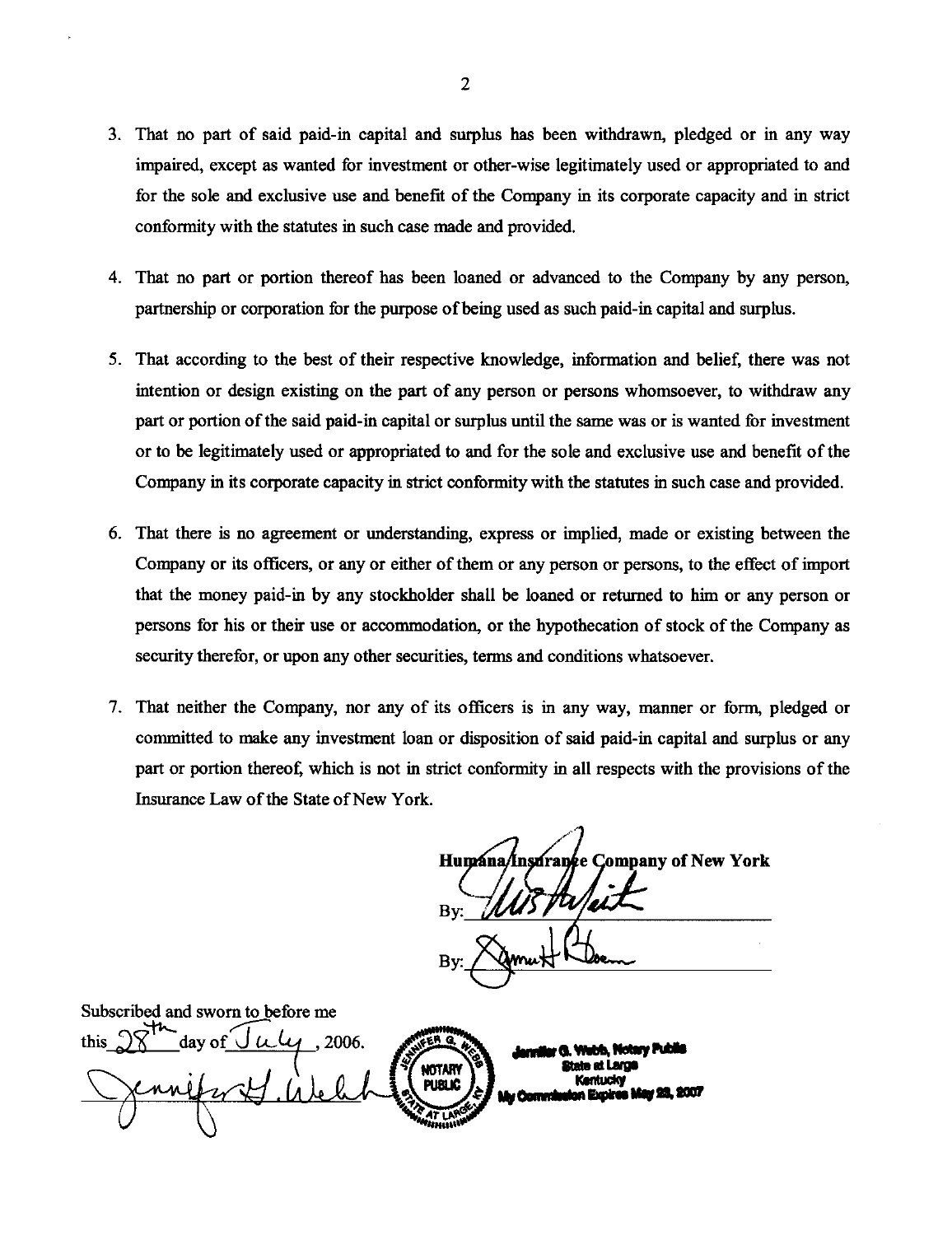- 3. That no part of said paid-in capital and surplus has been withdrawn, pledged or in any way impaired, except as wanted for investment or other-wise legitimately used or appropriated to and for the sole and exclusive use and benefit of the Company in its corporate capacity and in strict conformity with the statutes in such case made and provided.
- 4. That no part or portion thereof has been loaned or advanced to the Company by any person, partnership or corporation for the purpose of being used as such paid-in capital and surplus.
- 5. That according to the best of their respective knowledge, information and belief, there was not intention or design existing on the part of any person or persons whomsoever, to withdraw any part or portion of the said paid-in capital or surplus until the same was or is wanted for investment or to be legitimately used or appropriated to and for the sole and exclusive use and benefit of the Company in its corporate capacity in strict conformity with the statutes in such case and provided.
- 6. That there is no agreement or understanding, express or implied, made or existing between the Company or its officers, or any or either of them or any person or persons, to the effect of import that the money paid-in by any stockholder shall be loaned or returned to him or any person or persons for his or their use or accommodation, or the hypothecation of stock of the Company as security therefor, or upon any other securities, terms and conditions whatsoever.
- 7. That neither the Company, nor any of its officers is in any way, manner or form, pledged or committed to make any investment loan or disposition of said paid-in capital and surplus or any part or portion thereof, which is not in strict conformity in all respects with the provisions of the Insurance Law of the State of New York.

Humana/Insurance Company of New York

Subscribed and sworn to before me day of J 2006. hh. Notary Publi ttota at I svod NOTARY Kentucky **PUBLIC**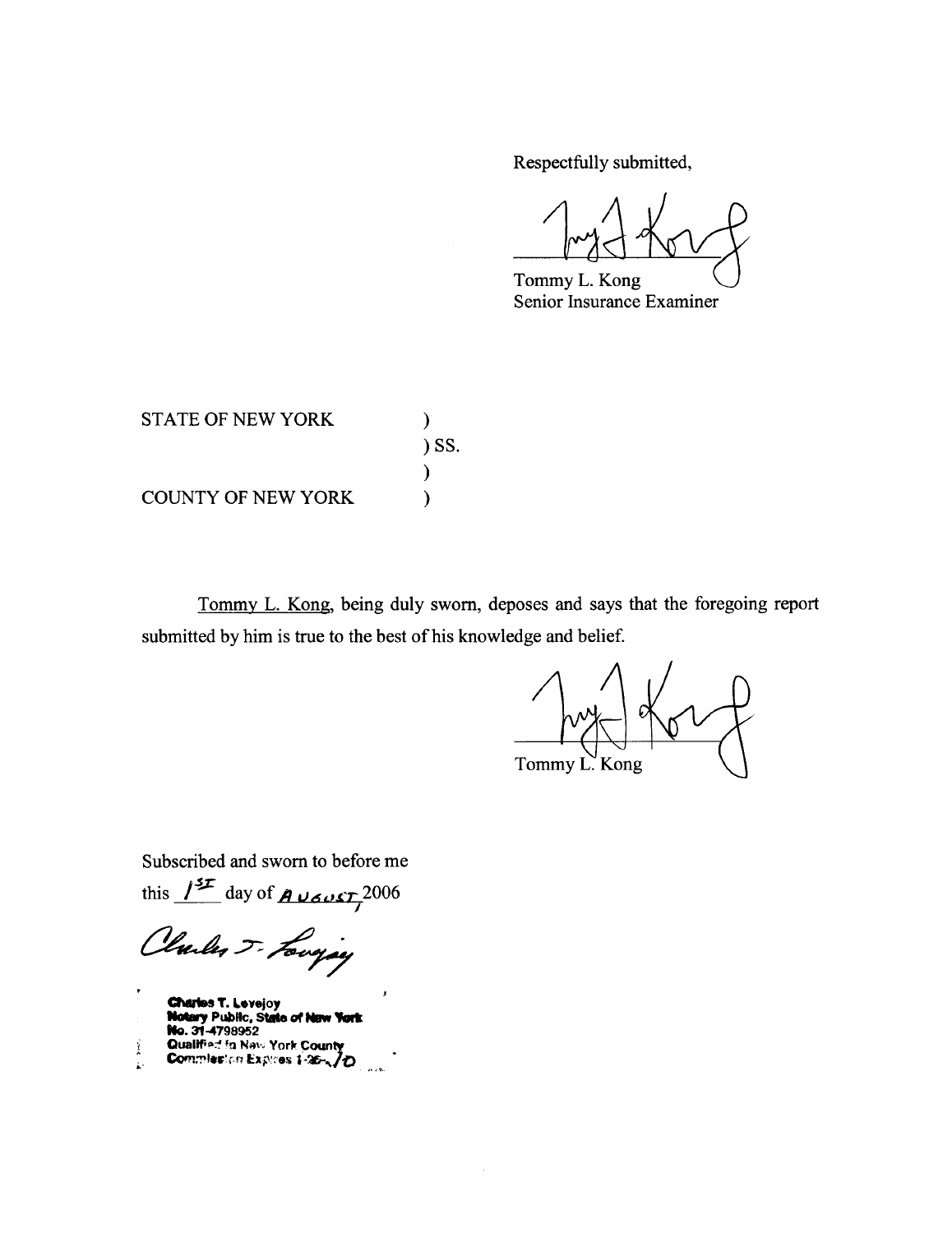Respectfully submitted,

Tommy L. Kong Senior Insurance Examiner

| <b>STATE OF NEW YORK</b>  |            |
|---------------------------|------------|
|                           | $\sum$ SS. |
|                           |            |
| <b>COUNTY OF NEW YORK</b> |            |

Tommy L. Kong, being duly sworn, deposes and says that the foregoing report submitted by him is true to the best of his knowledge and belief.

 $\hat{\mathcal{I}}$ 

 $\epsilon$ Tommy L' Kong

Subscribed and sworn to before me

this  $1^{37}$  day of **A** vert 2006

Clarles J. Longing

**Charles T. Levejoy<br>Notary Public, State of New York<br>No. 31-4798952** Qualified in New York County Ť ţ.  $\mathbf{a}$  and  $\mathbf{b}$ .